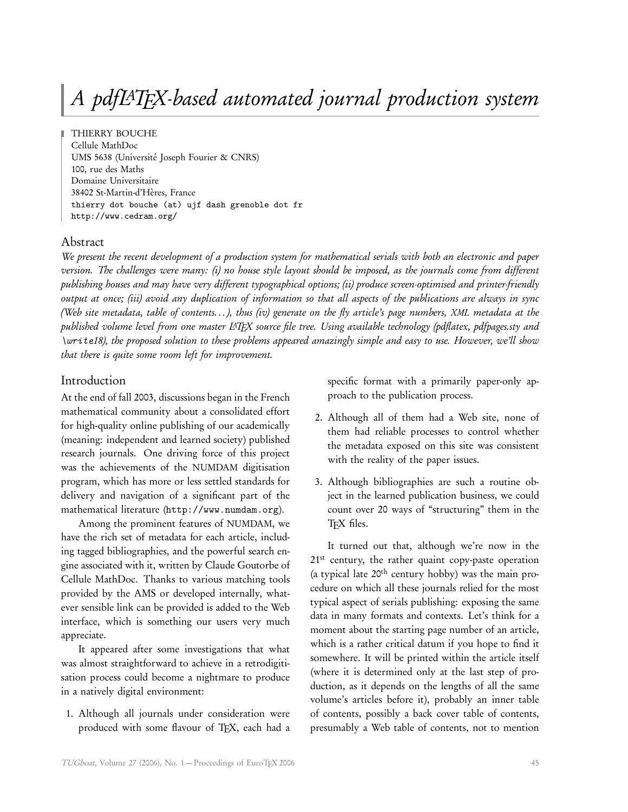# A pdfLATEX-based automated journal production system

THIERRY BOUCHE Cellule MathDoc UMS 5638 (Université Joseph Fourier & CNRS) 100, rue des Maths Domaine Universitaire 38402 St-Martin-d'Hères, France thierry dot bouche (at) ujf dash grenoble dot fr http://www.cedram.org/

### Abstract

We present the recent development of a production system for mathematical serials with both an electronic and paper version. The challenges were many: (i) no house style layout should be imposed, as the journals come from different publishing houses and may have very different typographical options; (ii) produce screen-optimised and printer-friendly output at once; (iii) avoid any duplication of information so that all aspects of the publications are always in sync (Web site metadata, table of contents. . . ), thus (iv) generate on the fly article's page numbers, XML metadata at the published volume level from one master L<sup>AT</sup>EX source file tree. Using available technology (pdflatex, pdfpages.sty and *\write*18), the proposed solution to these problems appeared amazingly simple and easy to use. However, we'll show that there is quite some room left for improvement.

## Introduction

At the end of fall 2003, discussions began in the French mathematical community about a consolidated effort for high-quality online publishing of our academically (meaning: independent and learned society) published research journals. One driving force of this project was the achievements of the NUMDAM digitisation program, which has more or less settled standards for delivery and navigation of a significant part of the mathematical literature (<http://www.numdam.org>).

Among the prominent features of NUMDAM, we have the rich set of metadata for each article, including tagged bibliographies, and the powerful search engine associated with it, written by Claude Goutorbe of Cellule MathDoc. Thanks to various matching tools provided by the AMS or developed internally, whatever sensible link can be provided is added to the Web interface, which is something our users very much appreciate.

It appeared after some investigations that what was almost straightforward to achieve in a retrodigitisation process could become a nightmare to produce in a natively digital environment:

1. Although all journals under consideration were produced with some flavour of TEX, each had a specific format with a primarily paper-only approach to the publication process.

- 2. Although all of them had a Web site, none of them had reliable processes to control whether the metadata exposed on this site was consistent with the reality of the paper issues.
- 3. Although bibliographies are such a routine object in the learned publication business, we could count over 20 ways of "structuring" them in the TFX files.

It turned out that, although we're now in the 21<sup>st</sup> century, the rather quaint copy-paste operation (a typical late 20th century hobby) was the main procedure on which all these journals relied for the most typical aspect of serials publishing: exposing the same data in many formats and contexts. Let's think for a moment about the starting page number of an article, which is a rather critical datum if you hope to find it somewhere. It will be printed within the article itself (where it is determined only at the last step of production, as it depends on the lengths of all the same volume's articles before it), probably an inner table of contents, possibly a back cover table of contents, presumably a Web table of contents, not to mention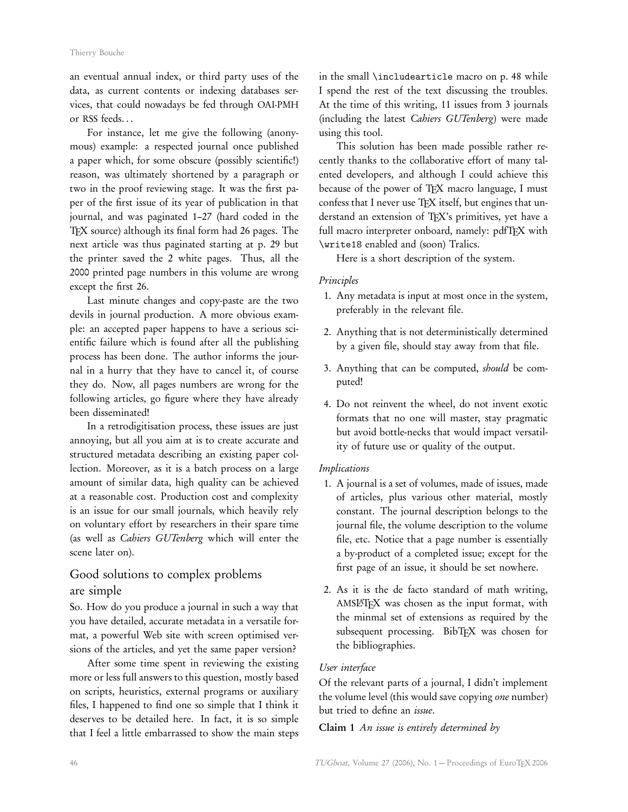an eventual annual index, or third party uses of the data, as current contents or indexing databases services, that could nowadays be fed through OAI-PMH or RSS feeds. . .

For instance, let me give the following (anonymous) example: a respected journal once published a paper which, for some obscure (possibly scientific!) reason, was ultimately shortened by a paragraph or two in the proof reviewing stage. It was the first paper of the first issue of its year of publication in that journal, and was paginated 1–27 (hard coded in the TEX source) although its final form had 26 pages. The next article was thus paginated starting at p. 29 but the printer saved the 2 white pages. Thus, all the 2000 printed page numbers in this volume are wrong except the first 26.

Last minute changes and copy-paste are the two devils in journal production. A more obvious example: an accepted paper happens to have a serious scientific failure which is found after all the publishing process has been done. The author informs the journal in a hurry that they have to cancel it, of course they do. Now, all pages numbers are wrong for the following articles, go figure where they have already been disseminated!

In a retrodigitisation process, these issues are just annoying, but all you aim at is to create accurate and structured metadata describing an existing paper collection. Moreover, as it is a batch process on a large amount of similar data, high quality can be achieved at a reasonable cost. Production cost and complexity is an issue for our small journals, which heavily rely on voluntary effort by researchers in their spare time (as well as Cahiers GUTenberg which will enter the scene later on).

# Good solutions to complex problems are simple

So. How do you produce a journal in such a way that you have detailed, accurate metadata in a versatile format, a powerful Web site with screen optimised versions of the articles, and yet the same paper version?

After some time spent in reviewing the existing more or less full answers to this question, mostly based on scripts, heuristics, external programs or auxiliary files, I happened to find one so simple that I think it deserves to be detailed here. In fact, it is so simple that I feel a little embarrassed to show the main steps

in the small \includearticle macro on p. [48](#page-3-0) while I spend the rest of the text discussing the troubles. At the time of this writing, 11 issues from 3 journals (including the latest Cahiers GUTenberg) were made using this tool.

This solution has been made possible rather recently thanks to the collaborative effort of many talented developers, and although I could achieve this because of the power of TEX macro language, I must confess that I never use TEX itself, but engines that understand an extension of TEX's primitives, yet have a full macro interpreter onboard, namely: pdfTFX with \write18 enabled and (soon) Tralics.

Here is a short description of the system.

#### Principles

- 1. Any metadata is input at most once in the system, preferably in the relevant file.
- 2. Anything that is not deterministically determined by a given file, should stay away from that file.
- 3. Anything that can be computed, should be computed!
- 4. Do not reinvent the wheel, do not invent exotic formats that no one will master, stay pragmatic but avoid bottle-necks that would impact versatility of future use or quality of the output.

#### Implications

- 1. A journal is a set of volumes, made of issues, made of articles, plus various other material, mostly constant. The journal description belongs to the journal file, the volume description to the volume file, etc. Notice that a page number is essentially a by-product of a completed issue; except for the first page of an issue, it should be set nowhere.
- 2. As it is the de facto standard of math writing, AMSL<sup>AT</sup>EX was chosen as the input format, with the minmal set of extensions as required by the subsequent processing. BibTEX was chosen for the bibliographies.

#### User interface

Of the relevant parts of a journal, I didn't implement the volume level (this would save copying one number) but tried to define an issue.

#### Claim 1 An issue is entirely determined by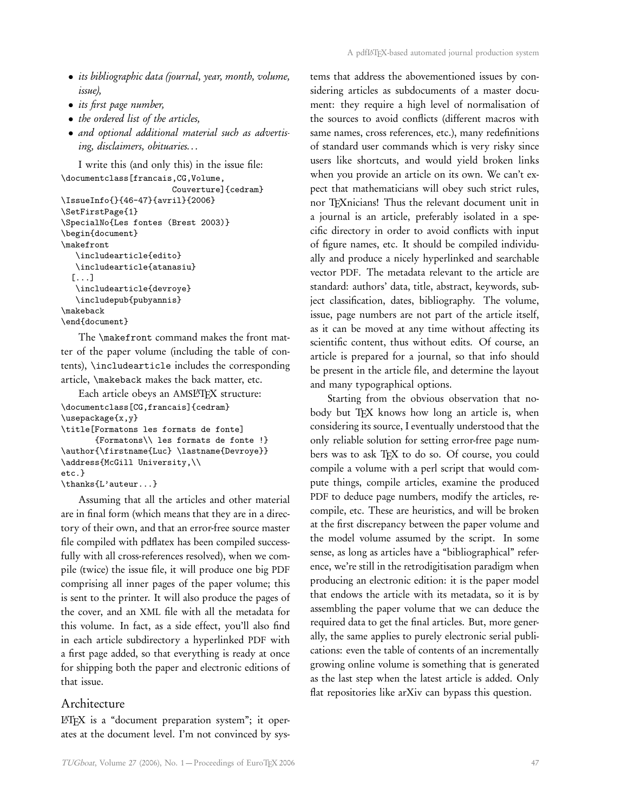- its bibliographic data (journal, year, month, volume, issue),
- its first page number,
- the ordered list of the articles,
- and optional additional material such as advertising, disclaimers, obituaries. . .

I write this (and only this) in the issue file: \documentclass[francais,CG,Volume, Couverture]{cedram}

```
\IssueInfo{}{46-47}{avril}{2006}
\SetFirstPage{1}
\SpecialNo{Les fontes (Brest 2003)}
\begin{document}
\makefront
   \includearticle{edito}
   \includearticle{atanasiu}
  [...]
   \includearticle{devroye}
   \includepub{pubyannis}
\makeback
\end{document}
```
The \makefront command makes the front matter of the paper volume (including the table of contents), \includearticle includes the corresponding article, \makeback makes the back matter, etc.

```
Each article obeys an AMSLATFX structure:
\documentclass[CG,francais]{cedram}
\usepackage{x,y}
\title[Formatons les formats de fonte]
       {Formatons\\ les formats de fonte !}
\author{\firstname{Luc} \lastname{Devroye}}
\address{McGill University,\\
etc.}
\thanks{L'auteur...}
```
Assuming that all the articles and other material are in final form (which means that they are in a directory of their own, and that an error-free source master file compiled with pdflatex has been compiled successfully with all cross-references resolved), when we compile (twice) the issue file, it will produce one big PDF comprising all inner pages of the paper volume; this is sent to the printer. It will also produce the pages of the cover, and an XML file with all the metadata for this volume. In fact, as a side effect, you'll also find in each article subdirectory a hyperlinked PDF with a first page added, so that everything is ready at once for shipping both the paper and electronic editions of that issue.

#### Architecture

LATEX is a "document preparation system"; it operates at the document level. I'm not convinced by systems that address the abovementioned issues by considering articles as subdocuments of a master document: they require a high level of normalisation of the sources to avoid conflicts (different macros with same names, cross references, etc.), many redefinitions of standard user commands which is very risky since users like shortcuts, and would yield broken links when you provide an article on its own. We can't expect that mathematicians will obey such strict rules, nor TEXnicians! Thus the relevant document unit in a journal is an article, preferably isolated in a specific directory in order to avoid conflicts with input of figure names, etc. It should be compiled individually and produce a nicely hyperlinked and searchable vector PDF. The metadata relevant to the article are standard: authors' data, title, abstract, keywords, subject classification, dates, bibliography. The volume, issue, page numbers are not part of the article itself, as it can be moved at any time without affecting its scientific content, thus without edits. Of course, an article is prepared for a journal, so that info should be present in the article file, and determine the layout and many typographical options.

Starting from the obvious observation that nobody but TFX knows how long an article is, when considering its source, I eventually understood that the only reliable solution for setting error-free page numbers was to ask TEX to do so. Of course, you could compile a volume with a perl script that would compute things, compile articles, examine the produced PDF to deduce page numbers, modify the articles, recompile, etc. These are heuristics, and will be broken at the first discrepancy between the paper volume and the model volume assumed by the script. In some sense, as long as articles have a "bibliographical" reference, we're still in the retrodigitisation paradigm when producing an electronic edition: it is the paper model that endows the article with its metadata, so it is by assembling the paper volume that we can deduce the required data to get the final articles. But, more generally, the same applies to purely electronic serial publications: even the table of contents of an incrementally growing online volume is something that is generated as the last step when the latest article is added. Only flat repositories like arXiv can bypass this question.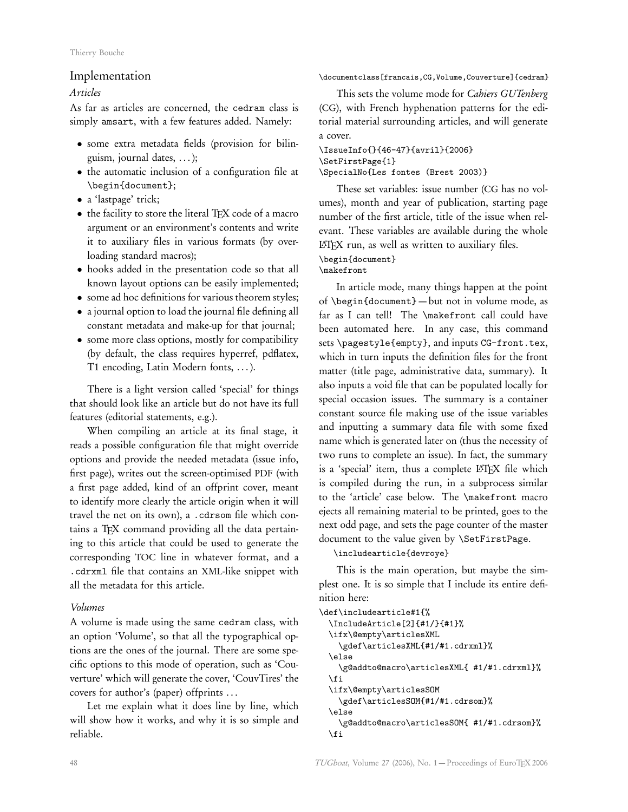#### Implementation

Articles

As far as articles are concerned, the cedram class is simply amsart, with a few features added. Namely:

- some extra metadata fields (provision for bilinguism, journal dates, . . . );
- the automatic inclusion of a configuration file at \begin{document};
- a 'lastpage' trick;
- the facility to store the literal TEX code of a macro argument or an environment's contents and write it to auxiliary files in various formats (by overloading standard macros);
- hooks added in the presentation code so that all known layout options can be easily implemented;
- some ad hoc definitions for various theorem styles;
- a journal option to load the journal file defining all constant metadata and make-up for that journal;
- some more class options, mostly for compatibility (by default, the class requires hyperref, pdflatex, T1 encoding, Latin Modern fonts, . . . ).

There is a light version called 'special' for things that should look like an article but do not have its full features (editorial statements, e.g.).

When compiling an article at its final stage, it reads a possible configuration file that might override options and provide the needed metadata (issue info, first page), writes out the screen-optimised PDF (with a first page added, kind of an offprint cover, meant to identify more clearly the article origin when it will travel the net on its own), a .cdrsom file which contains a TEX command providing all the data pertaining to this article that could be used to generate the corresponding TOC line in whatever format, and a .cdrxml file that contains an XML-like snippet with all the metadata for this article.

#### Volumes

<span id="page-3-0"></span>A volume is made using the same cedram class, with an option 'Volume', so that all the typographical options are the ones of the journal. There are some specific options to this mode of operation, such as 'Couverture' which will generate the cover, 'CouvTires' the covers for author's (paper) offprints . . .

Let me explain what it does line by line, which will show how it works, and why it is so simple and reliable.

#### \documentclass[francais,CG,Volume,Couverture]{cedram}

This sets the volume mode for Cahiers GUTenberg (CG), with French hyphenation patterns for the editorial material surrounding articles, and will generate a cover.

#### \IssueInfo{}{46-47}{avril}{2006} \SetFirstPage{1} \SpecialNo{Les fontes (Brest 2003)}

These set variables: issue number (CG has no volumes), month and year of publication, starting page number of the first article, title of the issue when relevant. These variables are available during the whole LATEX run, as well as written to auxiliary files.

#### \begin{document}

\makefront

In article mode, many things happen at the point of \begin{document} — but not in volume mode, as far as I can tell! The \makefront call could have been automated here. In any case, this command sets \pagestyle{empty}, and inputs CG-front.tex, which in turn inputs the definition files for the front matter (title page, administrative data, summary). It also inputs a void file that can be populated locally for special occasion issues. The summary is a container constant source file making use of the issue variables and inputting a summary data file with some fixed name which is generated later on (thus the necessity of two runs to complete an issue). In fact, the summary is a 'special' item, thus a complete LATEX file which is compiled during the run, in a subprocess similar to the 'article' case below. The \makefront macro ejects all remaining material to be printed, goes to the next odd page, and sets the page counter of the master document to the value given by \SetFirstPage.

#### \includearticle{devroye}

This is the main operation, but maybe the simplest one. It is so simple that I include its entire definition here:

```
\def\includearticle#1{%
 \IncludeArticle[2]{#1/}{#1}%
 \ifx\@empty\articlesXML
    \gdef\articlesXML{#1/#1.cdrxml}%
 \else
    \g@addto@macro\articlesXML{ #1/#1.cdrxml}%
 \fi
 \ifx\@empty\articlesSOM
    \gdef\articlesSOM{#1/#1.cdrsom}%
 \else
    \g@addto@macro\articlesSOM{ #1/#1.cdrsom}%
 \fi
```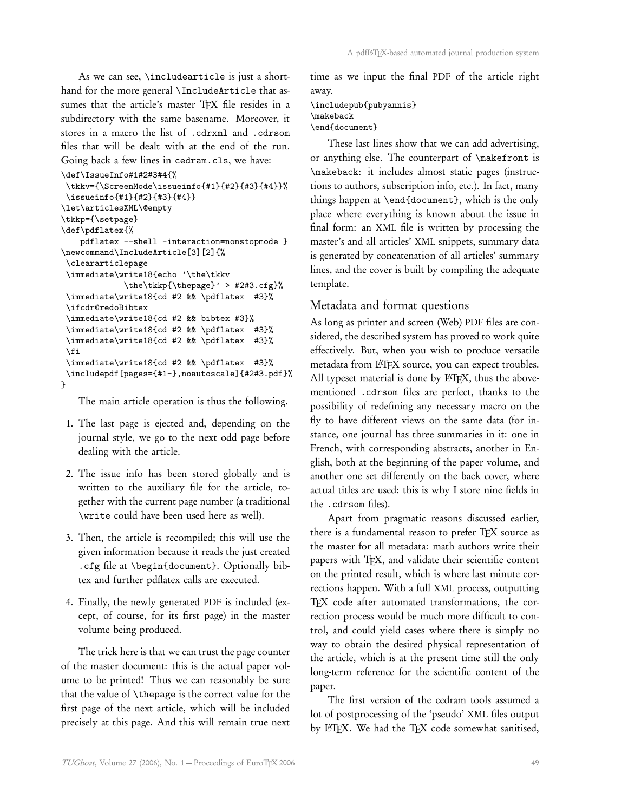As we can see, \includearticle is just a shorthand for the more general \IncludeArticle that assumes that the article's master TFX file resides in a subdirectory with the same basename. Moreover, it stores in a macro the list of .cdrxml and .cdrsom files that will be dealt with at the end of the run. Going back a few lines in cedram.cls, we have:

```
\def\IssueInfo#1#2#3#4{%
```

```
\tkkv={\ScreenMode\issueinfo{#1}{#2}{#3}{#4}}%
\issueinfo{#1}{#2}{#3}{#4}}
\let\articlesXML\@empty
\tkkp={\setpage}
\def\pdflatex{%
   pdflatex --shell -interaction=nonstopmode }
\newcommand\IncludeArticle[3][2]{%
\cleararticlepage
\immediate\write18{echo '\the\tkkv
             \the\tkkp{\thepage}' > #2#3.cfg}%
\immediate\write18{cd #2 && \pdflatex #3}%
\ifcdr@redoBibtex
\immediate\write18{cd #2 && bibtex #3}%
\immediate\write18{cd #2 && \pdflatex #3}%
\immediate\write18{cd #2 && \pdflatex #3}%
\fi
\immediate\write18{cd #2 && \pdflatex #3}%
\includepdf[pages={#1-},noautoscale]{#2#3.pdf}%
}
```
The main article operation is thus the following.

- 1. The last page is ejected and, depending on the journal style, we go to the next odd page before dealing with the article.
- 2. The issue info has been stored globally and is written to the auxiliary file for the article, together with the current page number (a traditional \write could have been used here as well).
- 3. Then, the article is recompiled; this will use the given information because it reads the just created .cfg file at \begin{document}. Optionally bibtex and further pdflatex calls are executed.
- 4. Finally, the newly generated PDF is included (except, of course, for its first page) in the master volume being produced.

The trick here is that we can trust the page counter of the master document: this is the actual paper volume to be printed! Thus we can reasonably be sure that the value of \thepage is the correct value for the first page of the next article, which will be included precisely at this page. And this will remain true next

time as we input the final PDF of the article right away.

```
\includepub{pubyannis}
\makeback
\end{document}
```
These last lines show that we can add advertising, or anything else. The counterpart of \makefront is \makeback: it includes almost static pages (instructions to authors, subscription info, etc.). In fact, many things happen at \end{document}, which is the only place where everything is known about the issue in final form: an XML file is written by processing the master's and all articles' XML snippets, summary data is generated by concatenation of all articles' summary lines, and the cover is built by compiling the adequate template.

#### Metadata and format questions

As long as printer and screen (Web) PDF files are considered, the described system has proved to work quite effectively. But, when you wish to produce versatile metadata from L<sup>AT</sup>FX source, you can expect troubles. All typeset material is done by L<sup>AT</sup>FX, thus the abovementioned .cdrsom files are perfect, thanks to the possibility of redefining any necessary macro on the fly to have different views on the same data (for instance, one journal has three summaries in it: one in French, with corresponding abstracts, another in English, both at the beginning of the paper volume, and another one set differently on the back cover, where actual titles are used: this is why I store nine fields in the .cdrsom files).

Apart from pragmatic reasons discussed earlier, there is a fundamental reason to prefer TEX source as the master for all metadata: math authors write their papers with TEX, and validate their scientific content on the printed result, which is where last minute corrections happen. With a full XML process, outputting TFX code after automated transformations, the correction process would be much more difficult to control, and could yield cases where there is simply no way to obtain the desired physical representation of the article, which is at the present time still the only long-term reference for the scientific content of the paper.

The first version of the cedram tools assumed a lot of postprocessing of the 'pseudo' XML files output by LATEX. We had the TEX code somewhat sanitised,